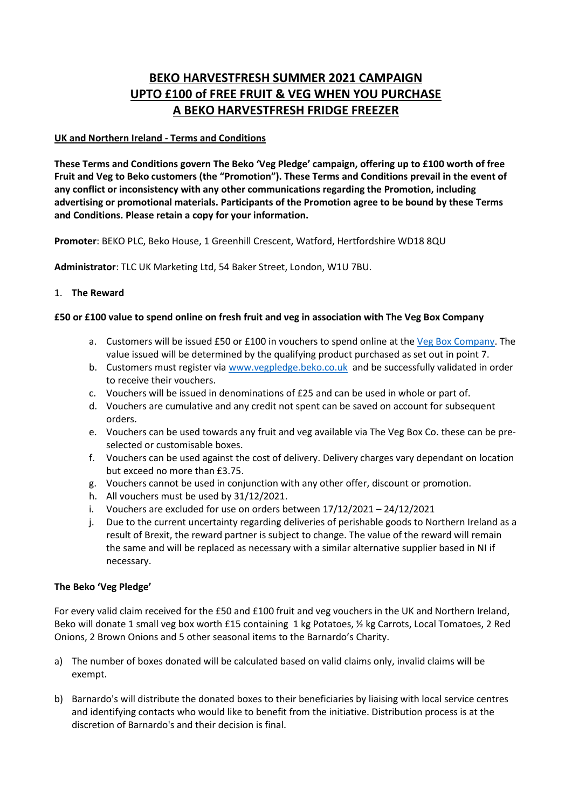# **BEKO HARVESTFRESH SUMMER 2021 CAMPAIGN UPTO £100 of FREE FRUIT & VEG WHEN YOU PURCHASE A BEKO HARVESTFRESH FRIDGE FREEZER**

## **UK and Northern Ireland - Terms and Conditions**

**These Terms and Conditions govern The Beko 'Veg Pledge' campaign, offering up to £100 worth of free Fruit and Veg to Beko customers (the "Promotion"). These Terms and Conditions prevail in the event of any conflict or inconsistency with any other communications regarding the Promotion, including advertising or promotional materials. Participants of the Promotion agree to be bound by these Terms and Conditions. Please retain a copy for your information.**

**Promoter**: BEKO PLC, Beko House, 1 Greenhill Crescent, Watford, Hertfordshire WD18 8QU

**Administrator**: TLC UK Marketing Ltd, 54 Baker Street, London, W1U 7BU.

## 1. **The Reward**

## **£50 or £100 value to spend online on fresh fruit and veg in association with The Veg Box Company**

- a. Customers will be issued £50 or £100 in vouchers to spend online at the [Veg Box Company.](https://thevegboxcompany.co.uk/) The value issued will be determined by the qualifying product purchased as set out in point 7.
- b. Customers must register via [www.vegpledge.beko.co.uk](http://www.vegpledge.beko.co.uk/) and be successfully validated in order to receive their vouchers.
- c. Vouchers will be issued in denominations of £25 and can be used in whole or part of.
- d. Vouchers are cumulative and any credit not spent can be saved on account for subsequent orders.
- e. Vouchers can be used towards any fruit and veg available via The Veg Box Co. these can be preselected or customisable boxes.
- f. Vouchers can be used against the cost of delivery. Delivery charges vary dependant on location but exceed no more than £3.75.
- g. Vouchers cannot be used in conjunction with any other offer, discount or promotion.
- h. All vouchers must be used by 31/12/2021.
- i. Vouchers are excluded for use on orders between 17/12/2021 24/12/2021
- j. Due to the current uncertainty regarding deliveries of perishable goods to Northern Ireland as a result of Brexit, the reward partner is subject to change. The value of the reward will remain the same and will be replaced as necessary with a similar alternative supplier based in NI if necessary.

### **The Beko 'Veg Pledge'**

For every valid claim received for the £50 and £100 fruit and veg vouchers in the UK and Northern Ireland, Beko will donate 1 small veg box worth £15 containing 1 kg Potatoes, ½ kg Carrots, Local Tomatoes, 2 Red Onions, 2 Brown Onions and 5 other seasonal items to the Barnardo's Charity.

- a) The number of boxes donated will be calculated based on valid claims only, invalid claims will be exempt.
- b) Barnardo's will distribute the donated boxes to their beneficiaries by liaising with local service centres and identifying contacts who would like to benefit from the initiative. Distribution process is at the discretion of Barnardo's and their decision is final.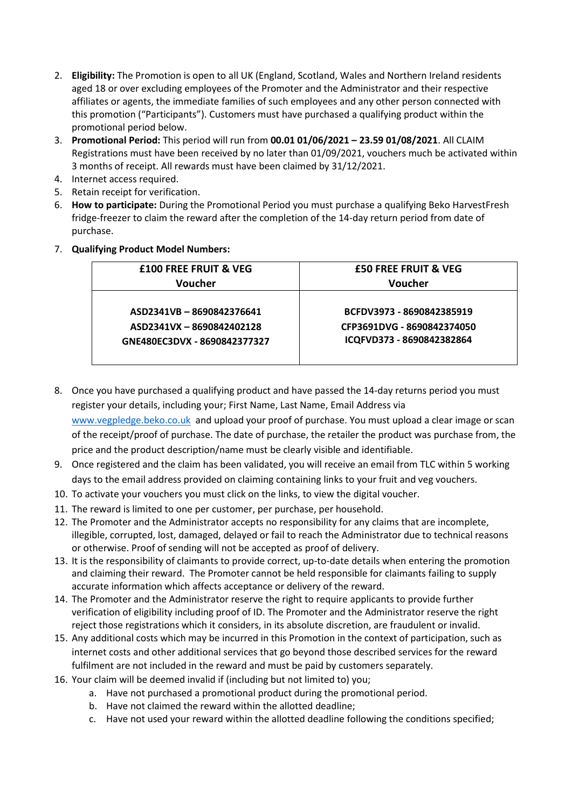- 2. **Eligibility:** The Promotion is open to all UK (England, Scotland, Wales and Northern Ireland residents aged 18 or over excluding employees of the Promoter and the Administrator and their respective affiliates or agents, the immediate families of such employees and any other person connected with this promotion ("Participants"). Customers must have purchased a qualifying product within the promotional period below.
- 3. **Promotional Period:** This period will run from **00.01 01/06/2021 – 23.59 01/08/2021**. All CLAIM Registrations must have been received by no later than 01/09/2021, vouchers much be activated within 3 months of receipt. All rewards must have been claimed by 31/12/2021.
- 4. Internet access required.
- 5. Retain receipt for verification.
- 6. **How to participate:** During the Promotional Period you must purchase a qualifying Beko HarvestFresh fridge-freezer to claim the reward after the completion of the 14-day return period from date of purchase.
- 7. **Qualifying Product Model Numbers:**

| <b>E50 FREE FRUIT &amp; VEG</b> |
|---------------------------------|
| Voucher                         |
|                                 |
| BCFDV3973 - 8690842385919       |
| CFP3691DVG - 8690842374050      |
| ICQFVD373 - 8690842382864       |
|                                 |
|                                 |

- 8. Once you have purchased a qualifying product and have passed the 14-day returns period you must register your details, including your; First Name, Last Name, Email Address via [www.vegpledge.beko.co.uk](http://www.vegpledge.beko.co.uk/) and upload your proof of purchase. You must upload a clear image or scan of the receipt/proof of purchase. The date of purchase, the retailer the product was purchase from, the price and the product description/name must be clearly visible and identifiable.
- 9. Once registered and the claim has been validated, you will receive an email from TLC within 5 working days to the email address provided on claiming containing links to your fruit and veg vouchers.
- 10. To activate your vouchers you must click on the links, to view the digital voucher.
- 11. The reward is limited to one per customer, per purchase, per household.
- 12. The Promoter and the Administrator accepts no responsibility for any claims that are incomplete, illegible, corrupted, lost, damaged, delayed or fail to reach the Administrator due to technical reasons or otherwise. Proof of sending will not be accepted as proof of delivery.
- 13. It is the responsibility of claimants to provide correct, up-to-date details when entering the promotion and claiming their reward. The Promoter cannot be held responsible for claimants failing to supply accurate information which affects acceptance or delivery of the reward.
- 14. The Promoter and the Administrator reserve the right to require applicants to provide further verification of eligibility including proof of ID. The Promoter and the Administrator reserve the right reject those registrations which it considers, in its absolute discretion, are fraudulent or invalid.
- 15. Any additional costs which may be incurred in this Promotion in the context of participation, such as internet costs and other additional services that go beyond those described services for the reward fulfilment are not included in the reward and must be paid by customers separately.
- 16. Your claim will be deemed invalid if (including but not limited to) you;
	- a. Have not purchased a promotional product during the promotional period.
	- b. Have not claimed the reward within the allotted deadline;
	- c. Have not used your reward within the allotted deadline following the conditions specified;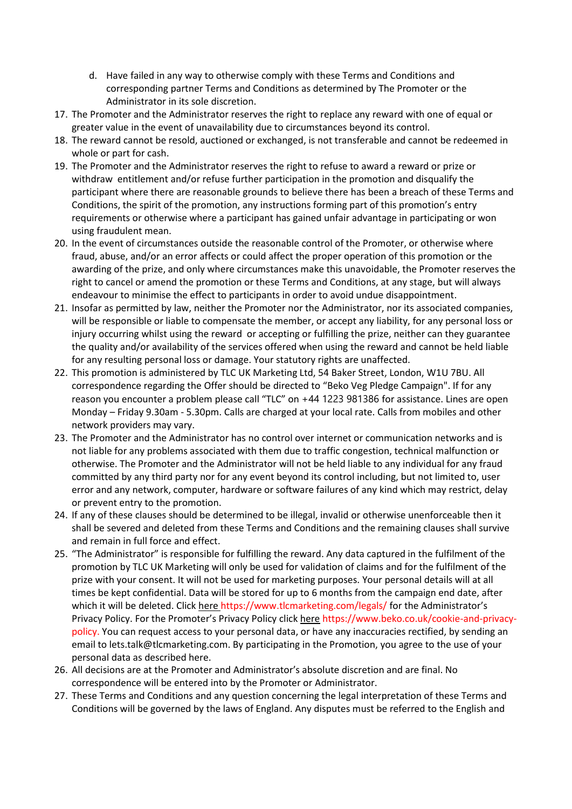- d. Have failed in any way to otherwise comply with these Terms and Conditions and corresponding partner Terms and Conditions as determined by The Promoter or the Administrator in its sole discretion.
- 17. The Promoter and the Administrator reserves the right to replace any reward with one of equal or greater value in the event of unavailability due to circumstances beyond its control.
- 18. The reward cannot be resold, auctioned or exchanged, is not transferable and cannot be redeemed in whole or part for cash.
- 19. The Promoter and the Administrator reserves the right to refuse to award a reward or prize or withdraw entitlement and/or refuse further participation in the promotion and disqualify the participant where there are reasonable grounds to believe there has been a breach of these Terms and Conditions, the spirit of the promotion, any instructions forming part of this promotion's entry requirements or otherwise where a participant has gained unfair advantage in participating or won using fraudulent mean.
- 20. In the event of circumstances outside the reasonable control of the Promoter, or otherwise where fraud, abuse, and/or an error affects or could affect the proper operation of this promotion or the awarding of the prize, and only where circumstances make this unavoidable, the Promoter reserves the right to cancel or amend the promotion or these Terms and Conditions, at any stage, but will always endeavour to minimise the effect to participants in order to avoid undue disappointment.
- 21. Insofar as permitted by law, neither the Promoter nor the Administrator, nor its associated companies, will be responsible or liable to compensate the member, or accept any liability, for any personal loss or injury occurring whilst using the reward or accepting or fulfilling the prize, neither can they guarantee the quality and/or availability of the services offered when using the reward and cannot be held liable for any resulting personal loss or damage. Your statutory rights are unaffected.
- 22. This promotion is administered by TLC UK Marketing Ltd, 54 Baker Street, London, W1U 7BU. All correspondence regarding the Offer should be directed to "Beko Veg Pledge Campaign". If for any reason you encounter a problem please call "TLC" on +44 1223 981386 for assistance. Lines are open Monday – Friday 9.30am - 5.30pm. Calls are charged at your local rate. Calls from mobiles and other network providers may vary.
- 23. The Promoter and the Administrator has no control over internet or communication networks and is not liable for any problems associated with them due to traffic congestion, technical malfunction or otherwise. The Promoter and the Administrator will not be held liable to any individual for any fraud committed by any third party nor for any event beyond its control including, but not limited to, user error and any network, computer, hardware or software failures of any kind which may restrict, delay or prevent entry to the promotion.
- 24. If any of these clauses should be determined to be illegal, invalid or otherwise unenforceable then it shall be severed and deleted from these Terms and Conditions and the remaining clauses shall survive and remain in full force and effect.
- 25. "The Administrator" is responsible for fulfilling the reward. Any data captured in the fulfilment of the promotion by TLC UK Marketing will only be used for validation of claims and for the fulfilment of the prize with your consent. It will not be used for marketing purposes. Your personal details will at all times be kept confidential. Data will be stored for up to 6 months from the campaign end date, after which it will be deleted. Click here https://www.tlcmarketing.com/legals/ for the Administrator's Privacy Policy. For the Promoter's Privacy Policy click here https://www.beko.co.uk/cookie-and-privacypolicy. You can request access to your personal data, or have any inaccuracies rectified, by sending an email to lets.talk@tlcmarketing.com. By participating in the Promotion, you agree to the use of your personal data as described here.
- 26. All decisions are at the Promoter and Administrator's absolute discretion and are final. No correspondence will be entered into by the Promoter or Administrator.
- 27. These Terms and Conditions and any question concerning the legal interpretation of these Terms and Conditions will be governed by the laws of England. Any disputes must be referred to the English and